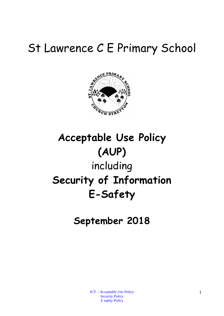# St Lawrence C E Primary School



# **Acceptable Use Policy (AUP)** including **Security of Information E-Safety**

**September 2018**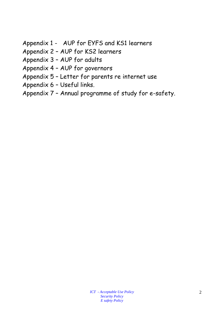- Appendix 1 AUP for EYFS and KS1 learners
- Appendix 2 AUP for KS2 learners
- Appendix 3 AUP for adults
- Appendix 4 AUP for governors
- Appendix 5 Letter for parents re internet use
- Appendix 6 Useful links.
- Appendix 7 Annual programme of study for e-safety.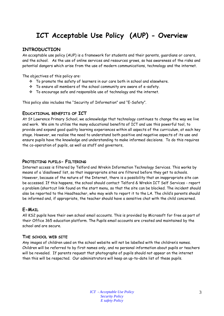# **ICT Acceptable Use Policy (AUP) - Overview**

#### **INTRODUCTION**

An acceptable use policy (AUP) is a framework for students and their parents, guardians or carers, and the school. As the use of online services and resources grows, so has awareness of the risks and potential dangers which arise from the use of modern communications, technology and the internet.

The objectives of this policy are:

- To promote the safety of learners in our care both in school and elsewhere.
- To ensure all members of the school community are aware of e-safety.
- $\cdot \cdot$  To encourage safe and responsible use of technology and the internet.

This policy also includes the "Security of Information" and "E-Safety".

#### **EDUCATIONAL BENEFITS OF [ICT](http://safety.ngfl.gov.uk/schools/document.php3?D=d56##)**

At St Lawrence Primary School, we acknowledge that technology continues to change the way we live and work. We aim to utilise the many educational benefits of [ICT](http://safety.ngfl.gov.uk/schools/document.php3?D=d56##) and use this powerful tool, to provide and expand good quality learning experiences within all aspects of the curriculum, at each key stage. However, we realise the need to understand both positive and negative aspects of its use and ensure pupils have the knowledge and understanding to make informed decisions. To do this requires the co-operation of pupils, as well as staff and governors,

#### **PROTECTING PUPILS- FILTERING**

Internet access is filtered by Telford and Wrekin Information Technology Services. This works by means of a 'disallowed' list, so that inappropriate sites are filtered before they get to schools. However, because of the nature of the Internet, there is a possibility that an inappropriate site can be accessed. If this happens, the school should contact Telford & Wrekin ICT Self Services - report a problem (shortcut link found on the start menu, so that the site can be blocked. The incident should also be reported to the Headteacher, who may wish to report it to the LA. The child's parents should be informed and, if appropriate, the teacher should have a sensitive chat with the child concerned.

#### **E-MAIL**

All KS2 pupils have their own school email accounts. This is provided by Microsoft for free as part of their Office 365 education platform. The Pupils email accounts are created and maintained by the school and are secure.

#### **THE SCHOOL WEB SITE**

Any images of children used on the school website will not be labelled with the children's names. Children will be referred to by first names only, and no personal information about pupils or teachers will be revealed. If parents request that photographs of pupils should not appear on the internet then this will be respected. Our administrators will keep an up-to-date list of these pupils.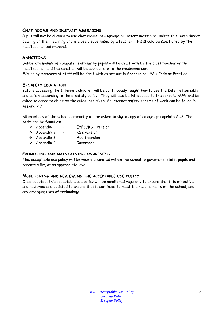#### **CHAT ROOMS AND INSTANT MESSAGING**

Pupils will not be allowed to use chat rooms, newsgroups or instant messaging, unless this has a direct bearing on their learning and is closely supervised by a teacher. This should be sanctioned by the headteacher beforehand.

#### **SANCTIONS**

Deliberate misuse of computer systems by pupils will be dealt with by the class teacher or the headteacher, and the sanction will be appropriate to the misdemeanour. Misuse by members of staff will be dealt with as set out in Shropshire LEA's Code of Practice.

#### **E-SAFETY EDUCATION**

Before accessing the Internet, children will be continuously taught how to use the Internet sensibly and safely according to the e-safety policy. They will also be introduced to the school's AUPs and be asked to agree to abide by the guidelines given. An internet safety scheme of work can be found in Appendix 7

All members of the school community will be asked to sign a copy of an age appropriate AUP. The AUPs can be found as:

- Appendix 1 EYFS/KS1 version
- Appendix 2 KS2 version
- Appendix 3 Adult version
- Appendix 4 Governors

#### **PROMOTING AND MAINTAINING AWARENESS**

This acceptable use policy will be widely promoted within the school to governors, staff, pupils and parents alike, at an appropriate level.

#### **MONITORING AND REVIEWING THE ACCEPTABLE USE POLICY**

Once adopted, this acceptable use policy will be monitored regularly to ensure that it is effective, and reviewed and updated to ensure that it continues to meet the requirements of the school, and any emerging uses of technology.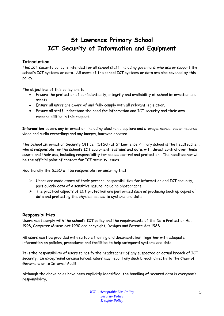# **St Lawrence Primary School ICT Security of Information and Equipment**

#### **Introduction**

This ICT security policy is intended for all school staff, including governors, who use or support the school's ICT systems or data. All users of the school ICT systems or data are also covered by this policy.

The objectives of this policy are to:

- Ensure the protection of confidentiality, integrity and availability of school information and assets.
- Ensure all users are aware of and fully comply with all relevant legislation.
- Ensure all staff understand the need for information and ICT security and their own responsibilities in this respect.

**Information** covers any information, including electronic capture and storage, manual paper records, video and audio recordings and any images, however created.

The School Information Security Officer (SISO) at St Lawrence Primary school is the headteacher, who is responsible for the school's ICT equipment, systems and data, with direct control over these assets and their use, including responsibility for access control and protection. The headteacher will be the official point of contact for ICT security issues.

Additionally the SISO will be responsible for ensuring that:

- $\triangleright$  Users are made aware of their personal responsibilities for information and ICT security, particularly data of a sensitive nature including photographs.
- $\triangleright$  The practical aspects of ICT protection are performed such as producing back up copies of data and protecting the physical access to systems and data.

#### **Responsibilities**

Users must comply with the school's ICT policy and the requirements of the Data Protection Act 1998, Computer Misuse Act 1990 and copyright, Designs and Patents Act 1988.

All users must be provided with suitable training and documentation, together with adequate information on policies, procedures and facilities to help safeguard systems and data.

It is the responsibility of users to notify the headteacher of any suspected or actual breach of ICT security. In exceptional circumstances, users may report any such breach directly to the Chair of Governors or to Internal Audit.

Although the above roles have been explicitly identified, the handling of secured data is everyone's responsibility.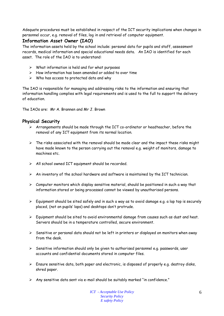Adequate procedures must be established in respect of the ICT security implications when changes in personnel occur, e.g. removal of files, log in and retrieval of computer equipment.

#### **Information Asset Owner (IAO)**

The information assets held by the school include: personal data for pupils and staff, assessment records, medical information and special educational needs data. An IAO is identified for each asset. The role of the IAO is to understand:

- $\triangleright$  What information is held and for what purposes
- $\triangleright$  How information has been amended or added to over time
- $\triangleright$  Who has access to protected data and why

The IAO is responsible for managing and addressing risks to the information and ensuring that information handling complies with legal requirements and is used to the full to support the delivery of education.

The IAOs are: Mr A. Brannen and Mr J. Brown

#### **Physical Security**

- $\triangleright$  Arrangements should be made through the ICT co-ordinator or headteacher, before the removal of any ICT equipment from its normal location.
- $\triangleright$  The risks associated with the removal should be made clear and the impact these risks might have made known to the person carrying out the removal e.g. weight of monitors, damage to machines etc.
- All school owned ICT equipment should be recorded.
- $\triangleright$  An inventory of the school hardware and software is maintained by the ICT technician.
- $\triangleright$  Computer monitors which display sensitive material, should be positioned in such a way that information stored or being processed cannot be viewed by unauthorised persons.
- $\triangleright$  Equipment should be sited safely and in such a way as to avoid damage e.g. a lap top is securely placed, (not on pupils' laps) and desktops don't protrude.
- $\triangleright$  Equipment should be sited to avoid environmental damage from causes such as dust and heat. Servers should be in a temperature controlled, secure environment.
- $\triangleright$  Sensitive or personal data should not be left in printers or displayed on monitors when away from the desk.
- $\triangleright$  Sensitive information should only be given to authorised personnel e.g. passwords, user accounts and confidential documents stored in computer files.
- $\triangleright$  Ensure sensitive data, both paper and electronic, is disposed of properly e.g. destroy disks, shred paper.
- $\triangleright$  Any sensitive data sent via e-mail should be suitably marked "in confidence."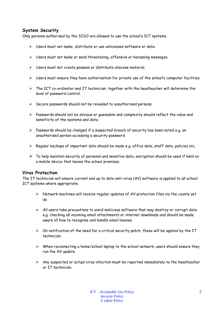#### **System Security**

Only persons authorised by the SISO are allowed to use the school's ICT systems.

- $\triangleright$  Users must not make, distribute or use unlicensed software or data.
- $\triangleright$  Users must not make or send threatening, offensive or harassing messages.
- Users must not create possess or distribute obscene material.
- $\triangleright$  Users must ensure they have authorisation for private use of the school's computer facilities.
- $\triangleright$  The ICT co-ordinator and IT technician, together with the headteacher will determine the level of password control.
- $\triangleright$  Secure passwords should not be revealed to unauthorised persons.
- $\triangleright$  Passwords should not be obvious or quessable and complexity should reflect the value and sensitivity of the systems and data.
- $\triangleright$  Passwords should be changed if a suspected breach of security has been noted e.g. an unauthorised person accessing a security password.
- $\triangleright$  Regular backups of important data should be made e.g. office data, staff data, policies etc.
- $\triangleright$  To help maintain security of personal and sensitive data, encryption should be used if held on a mobile device that leaves the school premises.

#### **Virus Protection**

The IT technician will ensure current and up to date anti-virus (AV) software is applied to all school ICT systems where appropriate.

- $\triangleright$  Network machines will receive regular updates of AV protection files via the county set up.
- $\triangleright$  All users take precautions to avoid malicious software that may destroy or corrupt data e.g. checking all incoming email attachments or internet downloads and should be made aware of how to recognise and handle email hoaxes.
- $\triangleright$  On notification of the need for a critical security patch, these will be applied by the IT technician.
- $\triangleright$  When reconnecting a home/school laptop to the school network, users should ensure they run the AV update.
- $\triangleright$  Any suspected or actual virus infection must be reported immediately to the headteacher or IT technician.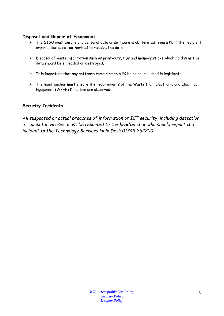#### **Disposal and Repair of Equipment**

- $\triangleright$  The SISO must ensure any personal data or software is obliterated from a PC if the recipient organisation is not authorised to receive the data.
- Disposal of waste information such as print-outs, CDs and memory sticks which hold sensitive data should be shredded or destroyed.
- $\triangleright$  It is important that any software remaining on a PC being relinquished is legitimate.
- $\triangleright$  The headteacher must ensure the requirements of the Waste from Electronic and Electrical Equipment (WEEE) Directive are observed.

#### **Security Incidents**

*All suspected or actual breaches of information or ICT security, including detection of computer viruses, must be reported to the headteacher who should report the incident to the Technology Services Help Desk 01743 252200*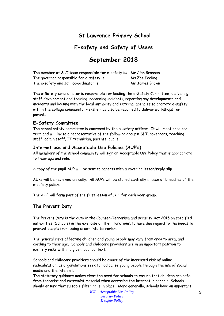### **St Lawrence Primary School**

### **E-safety and Safety of Users**

## **September 2018**

| The member of SLT team responsible for e-safety is: Mr Alan Brannen |                |
|---------------------------------------------------------------------|----------------|
| The governor responsible for e-safety is:                           | Ms Zoe Keeling |
| The e-safety and ICT co-ordinator is:                               | Mr James Brown |

The e-Safety co-ordinator is responsible for leading the e-Safety Committee, delivering staff development and training, recording incidents, reporting any developments and incidents and liaising with the local authority and external agencies to promote e-safety within the college community. He/she may also be required to deliver workshops for parents.

#### **E-Safety Committee**

The school safety committee is convened by the e-safety officer. It will meet once per term and will invite a representative of the following groups: SLT, governors, teaching staff, admin staff, IT technician, parents, pupils.

#### **Internet use and Acceptable Use Policies (AUP's)**

All members of the school community will sign an Acceptable Use Policy that is appropriate to their age and role.

A copy of the pupil AUP will be sent to parents with a covering letter/reply slip

AUPs will be reviewed annually. All AUPs will be stored centrally in case of breaches of the e-safety policy.

The AUP will form part of the first lesson of ICT for each year group.

#### **The Prevent Duty**

The Prevent Duty is the duty in the Counter-Terrorism and security Act 2015 on specified authorities (Schools) in the exercise of their functions, to have due regard to the needs to prevent people from being drawn into terrorism.

The general risks affecting children and young people may vary from area to area, and cording to their age. Schools and childcare providers are in an important position to identify risks within a given local context.

Schools and childcare providers should be aware of the increased risk of online radicalisation, as organisations seek to radicalise young people through the use of social media and the internet.

The statutory guidance makes clear the need for schools to ensure that children are safe from terrorist and extremist material when accessing the internet in schools. Schools should ensure that suitable filtering is in place. More generally, schools have an important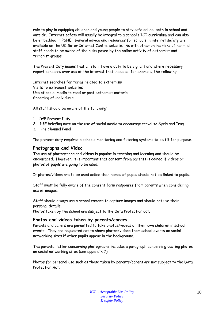role to play in equipping children and young people to stay safe online, both in school and outside. Internet safety will usually be integral to a school's ICT curriculum and can also be embedded in PSHE. General advice and resources for schools in internet safety are available on the UK Safer Internet Centre website. As with other online risks of harm, all staff needs to be aware of the risks posed by the online activity of extremist and terrorist groups.

The Prevent Duty means that all staff have a duty to be vigilant and where necessary report concerns over use of the internet that includes, for example, the following:

Internet searches for terms related to extremism Visits to extremist websites Use of social media to read or post extremist material Grooming of individuals

All staff should be aware of the following:

- 1. DfE Prevent Duty
- 2. DfE briefing note on the use of social media to encourage travel to Syria and Iraq
- 3. The Channel Panel

The prevent duty requires a schools monitoring and filtering systems to be fit for purpose.

#### **Photographs and Video**

The use of photographs and videos is popular in teaching and learning and should be encouraged. However, it is important that consent from parents is gained if videos or photos of pupils are going to be used.

If photos/videos are to be used online then names of pupils should not be linked to pupils.

Staff must be fully aware of the consent form responses from parents when considering use of images.

Staff should always use a school camera to capture images and should not use their personal details.

Photos taken by the school are subject to the Data Protection act.

#### **Photos and videos taken by parents/carers.**

Parents and carers are permitted to take photos/videos of their own children in school events. They are requested not to share photos/videos from school events on social networking sites if other pupils appear in the background.

The parental letter concerning photographs includes a paragraph concerning posting photos on social networking sites (see appendix 7)

Photos for personal use such as those taken by parents/carers are not subject to the Data Protection Act.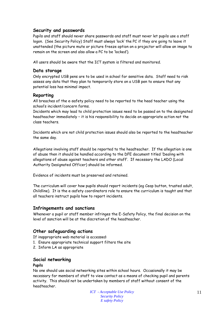#### **Security and passwords**

Pupils and staff should never share passwords and staff must never let pupils use a staff logon. (See Security Policy) Staff must always 'lock' the PC if they are going to leave it unattended (the picture mute or picture freeze option on a projector will allow an image to remain on the screen and also allow a PC to be 'locked').

All users should be aware that the ICT system is filtered and monitored.

#### **Data storage**

Only encrypted USB pens are to be used in school for sensitive data. Staff need to risk assess any data that they plan to temporarily store on a USB pen to ensure that any potential loss has minimal impact.

#### **Reporting**

All breaches of the e-safety policy need to be reported to the head teacher using the school's incident/concern forms.

Incidents which may lead to child protection issues need to be passed on to the designated headteacher immediately – it is his responsibility to decide on appropriate action not the class teachers.

Incidents which are not child protection issues should also be reported to the headteacher the same day.

Allegations involving staff should be reported to the headteacher. If the allegation is one of abuse then it should be handled according to the DFE document titled 'Dealing with allegations of abuse against teachers and other staff'. If necessary the LADO (Local Authority Designated Officer) should be informed.

Evidence of incidents must be preserved and retained.

The curriculum will cover how pupils should report incidents (eg Ceop button, trusted adult, Childline). It is the e-safety coordinators role to ensure the curriculum is taught and that all teachers instruct pupils how to report incidents.

#### **Infringements and sanctions**

Whenever a pupil or staff member infringes the E-Safety Policy, the final decision on the level of sanction will be at the discretion of the headteacher.

#### **Other safeguarding actions**

If inappropriate web material is accessed:

- 1. Ensure appropriate technical support filters the site
- 2. Inform LA as appropriate

#### **Social networking**

#### **Pupils**

No one should use social networking sites within school hours. Occasionally it may be necessary for members of staff to view contact as a means of checking pupil and parents activity. This should not be undertaken by members of staff without consent of the headteacher.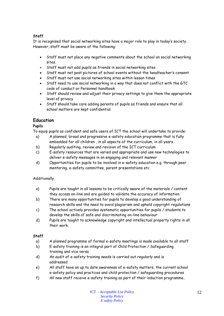#### **Staff**

It is recognised that social networking sites have a major role to play in today's society. However, staff must be aware of the following:

- Staff must not place any negative comments about the school on social networking sites.
- Staff must not add pupils as friends in social networking sites
- Staff must not post pictures of school events without the headteacher's consent
- Staff must not use social networking sites within lesson times
- Staff need to use social networking in a way that does not conflict with the GTC code of conduct or Personnel handbook
- Staff should review and adjust their privacy settings to give them the appropriate level of privacy
- Staff should take care adding parents of pupils as friends and ensure that all school matters are kept confidential.

#### **Education**

#### **Pupils**

To equip pupils as confident and safe users of ICT the school will undertake to provide:

- a) A planned, broad and progressive e-safety education programme that is fully embedded for all children , in all aspects of the curriculum, in all years.
- b) Regularly auditing, review and revision of the ICT curriculum
- c) E-safety resources that are varied and appropriate and use new technologies to deliver e-safety messages in an engaging and relevant manner
- d) Opportunities for pupils to be involved in e-safety education e.g. through peer mentoring, e-safety committee, parent presentations etc

#### Additionally,

- a) Pupils are taught in all lessons to be critically aware of the materials / content they access on-line and are guided to validate the accuracy of information
- b) There are many opportunities for pupils to develop a good understanding of research skills and the need to avoid plagiarism and uphold copyright regulations
- c) The school actively provides systematic opportunities for pupils / students to develop the skills of safe and discriminating on-line behaviour
- d) Pupils are taught to acknowledge copyright and intellectual property rights in all their work.

#### **Staff**

- a) A planned programme of formal e-safety meetings is made available to all staff
- b) E-safety training is an integral part of Child Protection / Safeguarding training and vice versa
- d) An audit of e-safety training needs is carried out regularly and is addressed
- e) All staff have an up to date awareness of e-safety matters, the current school e-safety policy and practices and child protection / safeguarding procedures
- f) All new staff receive e-safety training as part of their induction programme,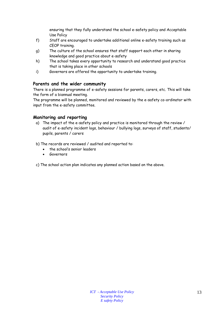ensuring that they fully understand the school e-safety policy and Acceptable Use Policy

- f) Staff are encouraged to undertake additional online e-safety training such as CEOP training.
- g) The culture of the school ensures that staff support each other in sharing knowledge and good practice about e-safety
- h) The school takes every opportunity to research and understand good practice that is taking place in other schools
- i) Governors are offered the opportunity to undertake training.

#### **Parents and the wider community**

There is a planned programme of e-safety sessions for parents, carers, etc. This will take the form of a biannual meeting.

The programme will be planned, monitored and reviewed by the e-safety co-ordinator with input from the e-safety committee.

#### **Monitoring and reporting**

- a) The impact of the e-safety policy and practice is monitored through the review / audit of e-safety incident logs, behaviour / bullying logs, surveys of staff, students/ pupils, parents / carers
- b) The records are reviewed / audited and reported to:
	- the school's senior leaders
	- **Governors**
- c) The school action plan indicates any planned action based on the above.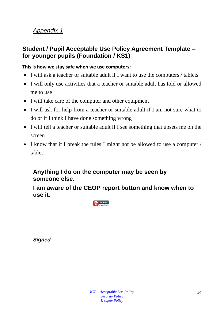## *Appendix 1*

### **Student / Pupil Acceptable Use Policy Agreement Template – for younger pupils (Foundation / KS1)**

#### **This is how we stay safe when we use computers:**

- I will ask a teacher or suitable adult if I want to use the computers / tablets
- I will only use activities that a teacher or suitable adult has told or allowed me to use
- I will take care of the computer and other equipment
- I will ask for help from a teacher or suitable adult if I am not sure what to do or if I think I have done something wrong
- I will tell a teacher or suitable adult if I see something that upsets me on the screen
- I know that if I break the rules I might not be allowed to use a computer / tablet

## **Anything I do on the computer may be seen by someone else.**

**I am aware of the CEOP report button and know when to use it.**



*Signed \_\_\_\_\_\_\_\_\_\_\_\_\_\_\_\_\_\_\_\_\_\_\_\_*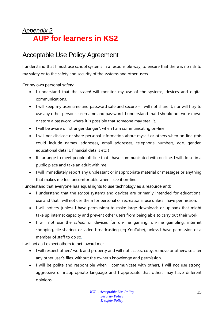# *Appendix 2* **AUP for learners in KS2**

# Acceptable Use Policy Agreement

I understand that I must use school systems in a responsible way, to ensure that there is no risk to my safety or to the safety and security of the systems and other users.

For my own personal safety:

- I understand that the *school* will monitor my use of the systems, devices and digital communications.
- I will keep my username and password safe and secure I will not share it, nor will I try to use any other person's username and password. I understand that I should not write down or store a password where it is possible that someone may steal it.
- I will be aware of "stranger danger", when I am communicating on-line.
- I will not disclose or share personal information about myself or others when on-line (this could include names, addresses, email addresses, telephone numbers, age, gender, educational details, financial details etc )
- If I arrange to meet people off-line that I have communicated with on-line, I will do so in a public place and take an adult with me.
- I will immediately report any unpleasant or inappropriate material or messages or anything that makes me feel uncomfortable when I see it on-line.

I understand that everyone has equal rights to use technology as a resource and:

- I understand that the *school* systems and devices are primarily intended for educational use and that I will not use them for personal or recreational use unless I have permission.
- I will not try (unless I have permission) to make large downloads or uploads that might take up internet capacity and prevent other users from being able to carry out their work.
- I will not use the *school* or devices for on-line gaming, on-line gambling, internet shopping, file sharing, or video broadcasting (eg YouTube), unless I have permission of a member of staff to do so.

I will act as I expect others to act toward me:

- I will respect others' work and property and will not access, copy, remove or otherwise alter any other user's files, without the owner's knowledge and permission.
- I will be polite and responsible when I communicate with others, I will not use strong, aggressive or inappropriate language and I appreciate that others may have different opinions.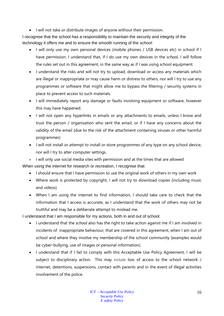• I will not take or distribute images of anyone without their permission.

I recognise that the school has a responsibility to maintain the security and integrity of the technology it offers me and to ensure the smooth running of the *school*:

- I will only use my own personal devices (mobile phones / USB devices etc) in school if I have permission. I understand that, if I do use my own devices in the *school*, I will follow the rules set out in this agreement, in the same way as if I was using school equipment.
- I understand the risks and will not try to upload, download or access any materials which are illegal or inappropriate or may cause harm or distress to others, nor will I try to use any programmes or software that might allow me to bypass the filtering / security systems in place to prevent access to such materials.
- I will immediately report any damage or faults involving equipment or software, however this may have happened.
- I will not open any hyperlinks in emails or any attachments to emails, unless I know and trust the person / organisation who sent the email, or if I have any concerns about the validity of the email (due to the risk of the attachment containing viruses or other harmful programmes)
- I will not install or attempt to install or store programmes of any type on any school device, nor will I try to alter computer settings.
- I will only use social media sites with permission and at the times that are allowed When using the internet for research or recreation, I recognise that:
	- I should ensure that I have permission to use the original work of others in my own work
	- Where work is protected by copyright, I will not try to download copies (including music and videos)
	- When I am using the internet to find information, I should take care to check that the information that I access is accurate, as I understand that the work of others may not be truthful and may be a deliberate attempt to mislead me.

I understand that I am responsible for my actions, both in and out of school:

- I understand that the *school* also has the right to take action against me if I am involved in incidents of inappropriate behaviour, that are covered in this agreement, when I am out of school and where they involve my membership of the school community (examples would be cyber-bullying, use of images or personal information).
- I understand that if I fail to comply with this Acceptable Use Policy Agreement, I will be subject to disciplinary action. This may include loss of access to the school network / internet, detentions, suspensions, contact with parents and in the event of illegal activities involvement of the police.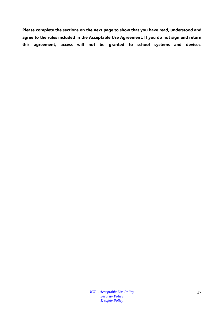**Please complete the sections on the next page to show that you have read, understood and agree to the rules included in the Acceptable Use Agreement. If you do not sign and return this agreement, access will not be granted to school systems and devices.**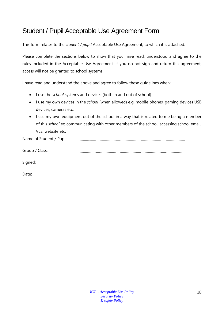# Student / Pupil Acceptable Use Agreement Form

This form relates to the *student / pupil* Acceptable Use Agreement, to which it is attached.

Please complete the sections below to show that you have read, understood and agree to the rules included in the Acceptable Use Agreement. If you do not sign and return this agreement, access will not be granted to school systems.

I have read and understand the above and agree to follow these guidelines when:

- I use the *school* systems and devices (both in and out of school)
- I use my own devices in the *school* (when allowed) e.g. mobile phones, gaming devices USB devices, cameras etc.
- I use my own equipment out of the school in a way that is related to me being a member of this *school* eg communicating with other members of the school, accessing school email, VLE, website etc.

| Name of Student / Pupil: |  |
|--------------------------|--|
| Group / Class:           |  |
| Signed:                  |  |
| Date:                    |  |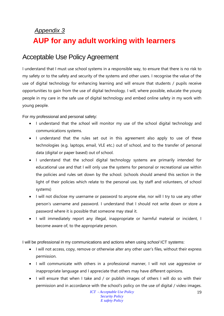# *Appendix 3* **AUP for any adult working with learners**

# Acceptable Use Policy Agreement

I understand that I must use school systems in a responsible way, to ensure that there is no risk to my safety or to the safety and security of the systems and other users. I recognise the value of the use of digital technology for enhancing learning and will ensure that students / pupils receive opportunities to gain from the use of digital technology. I will, where possible, educate the young people in my care in the safe use of digital technology and embed online safety in my work with young people.

For my professional and personal safety:

- I understand that the *school* will monitor my use of the school digital technology and communications systems.
- I understand that the rules set out in this agreement also apply to use of these technologies (e.g. laptops, email, VLE etc.) out of school, and to the transfer of personal data (digital or paper based) out of school.
- I understand that the school digital technology systems are primarily intended for educational use and that I will only use the systems for personal or recreational use within the policies and rules set down by the school. (schools should amend this section in the light of their policies which relate to the personal use, by staff and volunteers, of school systems)
- I will not disclose my username or password to anyone else, nor will I try to use any other person's username and password. I understand that I should not write down or store a password where it is possible that someone may steal it.
- I will immediately report any illegal, inappropriate or harmful material or incident, I become aware of, to the appropriate person.

I will be professional in my communications and actions when using *school* ICT systems:

- I will not access, copy, remove or otherwise alter any other user's files, without their express permission.
- I will communicate with others in a professional manner, I will not use aggressive or inappropriate language and I appreciate that others may have different opinions.
- I will ensure that when I take and / or publish images of others I will do so with their permission and in accordance with the school's policy on the use of digital / video images.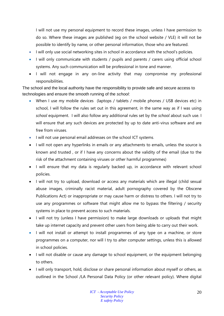I will not use my personal equipment to record these images, unless I have permission to do so. Where these images are published (eg on the school website / VLE) it will not be possible to identify by name, or other personal information, those who are featured.

- I will only use social networking sites in school in accordance with the school's policies.
- I will only communicate with students / pupils and parents / carers using official school systems. Any such communication will be professional in tone and manner.
- I will not engage in any on-line activity that may compromise my professional responsibilities.

The school and the local authority have the responsibility to provide safe and secure access to technologies and ensure the smooth running of the *school*:

- When I use my mobile devices (laptops / tablets / mobile phones / USB devices etc) in school, I will follow the rules set out in this agreement, in the same way as if I was using *school* equipment. I will also follow any additional rules set by the *school* about such use. I will ensure that any such devices are protected by up to date anti-virus software and are free from viruses.
- I will not use personal email addresses on the school ICT systems.
- I will not open any hyperlinks in emails or any attachments to emails, unless the source is known and trusted , or if I have any concerns about the validity of the email (due to the risk of the attachment containing viruses or other harmful programmes)
- I will ensure that my data is regularly backed up, in accordance with relevant school policies.
- I will not try to upload, download or access any materials which are illegal (child sexual abuse images, criminally racist material, adult pornography covered by the Obscene Publications Act) or inappropriate or may cause harm or distress to others. I will not try to use any programmes or software that might allow me to bypass the filtering / security systems in place to prevent access to such materials.
- I will not try (unless I have permission) to make large downloads or uploads that might take up internet capacity and prevent other users from being able to carry out their work.
- I will not install or attempt to install programmes of any type on a machine, or store programmes on a computer, nor will I try to alter computer settings, unless this is allowed in school policies.
- I will not disable or cause any damage to school equipment, or the equipment belonging to others.
- I will only transport, hold, disclose or share personal information about myself or others, as outlined in the School /LA Personal Data Policy (or other relevant policy). Where digital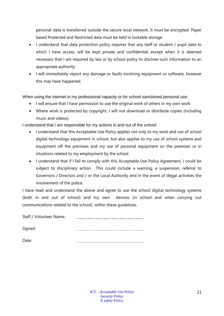personal data is transferred outside the secure local network, it must be encrypted. Paper based Protected and Restricted data must be held in lockable storage.

- I understand that data protection policy requires that any staff or student / pupil data to which I have access, will be kept private and confidential, except when it is deemed necessary that I am required by law or by school policy to disclose such information to an appropriate authority.
- I will immediately report any damage or faults involving equipment or software, however this may have happened.

When using the internet in my professional capacity or for school sanctioned personal use:

- I will ensure that I have permission to use the original work of others in my own work
- Where work is protected by copyright, I will not download or distribute copies (including music and videos).

I understand that I am responsible for my actions in and out of the *school*:

- I understand that this Acceptable Use Policy applies not only to my work and use of school digital technology equipment in school, but also applies to my use of school systems and equipment off the premises and my use of personal equipment on the premises or in situations related to my employment by the school
- I understand that if I fail to comply with this Acceptable Use Policy Agreement, I could be subject to disciplinary action. This could include a warning, a suspension, referral to Governors / Directors and / or the Local Authority and in the event of illegal activities the involvement of the police.

I have read and understand the above and agree to use the school digital technology systems (both in and out of school) and my own devices (in school and when carrying out communications related to the school) within these guidelines.

Staff / Volunteer Name: 

Signed:

Date: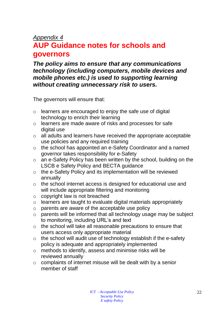## *Appendix 4*

# **AUP Guidance notes for schools and governors**

*The policy aims to ensure that any communications technology (including computers, mobile devices and mobile phones etc.) is used to supporting learning without creating unnecessary risk to users.* 

The governors will ensure that:

- $\circ$  learners are encouraged to enjoy the safe use of digital technology to enrich their learning
- o learners are made aware of risks and processes for safe digital use
- o all adults and learners have received the appropriate acceptable use policies and any required training
- o the school has appointed an e-Safety Coordinator and a named governor takes responsibility for e-Safety
- o an e-Safety Policy has been written by the school, building on the LSCB e Safety Policy and BECTA guidance
- o the e-Safety Policy and its implementation will be reviewed annually
- o the school internet access is designed for educational use and will include appropriate filtering and monitoring
- $\circ$  copyright law is not breached
- o learners are taught to evaluate digital materials appropriately
- o parents are aware of the acceptable use policy
- o parents will be informed that all technology usage may be subject to monitoring, including URL's and text
- o the school will take all reasonable precautions to ensure that users access only appropriate material
- $\circ$  the school will audit use of technology establish if the e-safety policy is adequate and appropriately implemented
- o methods to identify, assess and minimise risks will be reviewed annually
- o complaints of internet misuse will be dealt with by a senior member of staff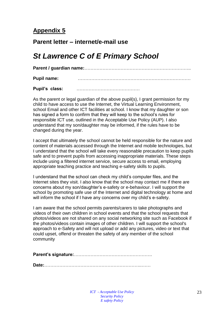## **Appendix 5**

### **Parent letter – internet/e-mail use**

# *St Lawrence C of E Primary School*

**Parent / guardian name:**……………………………………………………………..

**Pupil name:** …………………………………………………………………

**Pupil's class:** ……………………………………

As the parent or legal guardian of the above pupil(s), I grant permission for my child to have access to use the Internet, the Virtual Learning Environment, school Email and other ICT facilities at school. I know that my daughter or son has signed a form to confirm that they will keep to the school's rules for responsible ICT use, outlined in the Acceptable Use Policy (AUP). I also understand that my son/daughter may be informed, if the rules have to be changed during the year.

I accept that ultimately the school cannot be held responsible for the nature and content of materials accessed through the Internet and mobile technologies, but I understand that the school will take every reasonable precaution to keep pupils safe and to prevent pupils from accessing inappropriate materials. These steps include using a filtered internet service, secure access to email, employing appropriate teaching practice and teaching e-safety skills to pupils.

I understand that the school can check my child's computer files, and the Internet sites they visit. I also know that the school may contact me if there are concerns about my son/daughter's e-safety or e-behaviour. I will support the school by promoting safe use of the Internet and digital technology at home and will inform the school if I have any concerns over my child's e-safety.

I am aware that the school permits parents/carers to take photographs and videos of their own children in school events and that the school requests that photos/videos are not shared on any social networking site such as Facebook if the photos/videos contain images of other children. I will support the school's approach to e-Safety and will not upload or add any pictures, video or text that could upset, offend or threaten the safety of any member of the school community

**Parent's signature:**…………………………………………….

**Date:**………………………………………………………..……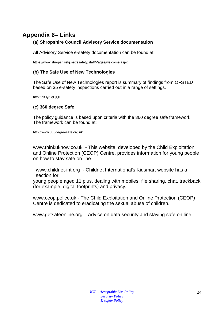# **Appendix 6– Links**

#### **(a) Shropshire Council Advisory Service documentation**

All Advisory Service e-safety documentation can be found at:

<https://www.shropshirelg.net/esafety/staff/Pages/welcome.aspx>

#### **(b) The Safe Use of New Technologies**

The Safe Use of New Technologies report is summary of findings from OFSTED based on 35 e-safety inspections carried out in a range of settings.

<http://bit.ly/9qBjQO>

#### (**c) 360 degree Safe**

The policy guidance is based upon criteria with the 360 degree safe framework. The framework can be found at:

[http://www.360degreesafe.org.uk](http://www.360degreesafe.org.uk/)

[www.thinkuknow.co.uk](http://www.thinkuknow.co.uk/) - This website, developed by the Child Exploitation and Online Protection (CEOP) Centre, provides information for young people on how to stay safe on line

[www.childnet-int.org](http://www.childnet-int.org/) - Childnet International's Kidsmart website has a section for

young people aged 11 plus, dealing with mobiles, file sharing, chat, trackback (for example, digital footprints) and privacy.

[www.ceop.police.uk](http://www.ceop.police.uk/) - The Child Exploitation and Online Protection (CEOP) Centre is dedicated to eradicating the sexual abuse of children.

[www.getsafeonline.org](http://www.getsafeonline.org/) – Advice on data security and staying safe on line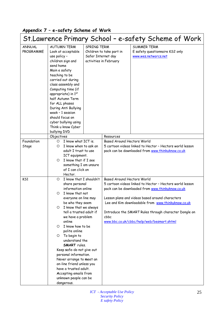### **Appendix 7 – e-safety Scheme of Work**

| St.Lawrence Primary School - e-safety Scheme of Work                                                                                                                                                                                                                                                                                                                      |                                                     |                                                                                                                                                                                                                                                                                                                                                                                                                                                                                                                                                                                                                                |                                                                                                                                                                                                                                                                                                                             |  |  |
|---------------------------------------------------------------------------------------------------------------------------------------------------------------------------------------------------------------------------------------------------------------------------------------------------------------------------------------------------------------------------|-----------------------------------------------------|--------------------------------------------------------------------------------------------------------------------------------------------------------------------------------------------------------------------------------------------------------------------------------------------------------------------------------------------------------------------------------------------------------------------------------------------------------------------------------------------------------------------------------------------------------------------------------------------------------------------------------|-----------------------------------------------------------------------------------------------------------------------------------------------------------------------------------------------------------------------------------------------------------------------------------------------------------------------------|--|--|
| <b>AUTUMN TERM</b><br>Look at acceptable<br>use policy -<br>children sign and<br>send home<br>Main e safety<br>teaching to be<br>carried out during<br>class assembly and<br>Computing time (if<br>appropriate) in 1st<br>half Autumn Term<br>for ALL phases<br>During Anti Bullying<br>week - 1 session<br>should focus on<br>cyber bullying using<br>Think u know Cyber |                                                     |                                                                                                                                                                                                                                                                                                                                                                                                                                                                                                                                                                                                                                | <b>SUMMER TERM</b><br>E safety questionnaire KS2 only<br>www.wes.networcs.net                                                                                                                                                                                                                                               |  |  |
|                                                                                                                                                                                                                                                                                                                                                                           |                                                     | Resources                                                                                                                                                                                                                                                                                                                                                                                                                                                                                                                                                                                                                      |                                                                                                                                                                                                                                                                                                                             |  |  |
| $\circ$<br>O<br>O.                                                                                                                                                                                                                                                                                                                                                        |                                                     | <b>Based Around Hectors World</b>                                                                                                                                                                                                                                                                                                                                                                                                                                                                                                                                                                                              | 5 cartoon videos linked to Hector - Hectors world lesson<br>pack can be downloaded from www.thinkuknow.co.uk                                                                                                                                                                                                                |  |  |
| O<br>O<br>O<br>online<br>O.<br>polite online<br>To begin to<br>$\circ$                                                                                                                                                                                                                                                                                                    |                                                     | cbbc                                                                                                                                                                                                                                                                                                                                                                                                                                                                                                                                                                                                                           | 5 cartoon videos linked to Hector - Hectors world lesson<br>pack can be downloaded from www.thinkuknow.co.uk<br>Lesson plans and videos based around characters<br>Lee and Kim downloadable from www.thinkuknow.co.uk<br>Introduce the SMART Rules through character Dongle on<br>www.bbc.co.uk/cbbc/help/web/besmart.shtml |  |  |
|                                                                                                                                                                                                                                                                                                                                                                           | bullying DVD<br>Objectives<br>Hector.<br>dangerous. | I know what ICT is.<br>I know when to ask an<br>adult I trust to use<br>ICT equipment.<br>I know that if I see<br>something I am unsure<br>of I can click on<br>I know that I shouldn't<br>share personal<br>information online<br>I know that not<br>everyone on line may<br>be who they seem<br>I know that we always<br>tell a trusted adult if<br>we have a problem<br>I know how to be<br>understand the<br><b>SMART</b> rules.<br>Keep safe-do not give out<br>personal information.<br>Never arrange to meet an<br>on-line friend unless you<br>have a trusted adult.<br>Accepting emails from<br>unknown people can be | SPRING TERM<br>Children to take part in<br>Safer Internet day<br>activities in February<br><b>Based Around Hectors World</b>                                                                                                                                                                                                |  |  |